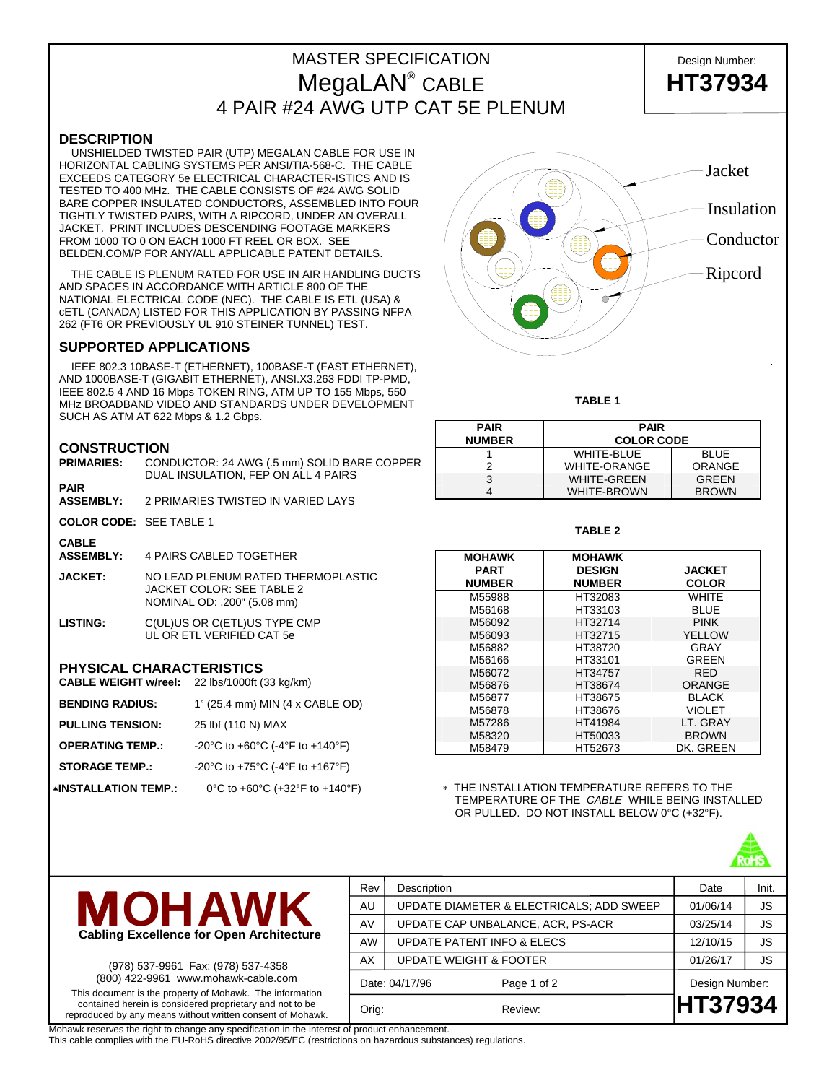# MASTER SPECIFICATION **Design Number:** MegaLAN<sup>®</sup> CABLE 4 PAIR #24 AWG UTP CAT 5E PLENUM

**DESCRIPTION**

 UNSHIELDED TWISTED PAIR (UTP) MEGALAN CABLE FOR USE IN HORIZONTAL CABLING SYSTEMS PER ANSI/TIA-568-C. THE CABLE EXCEEDS CATEGORY 5e ELECTRICAL CHARACTER-ISTICS AND IS TESTED TO 400 MHz. THE CABLE CONSISTS OF #24 AWG SOLID BARE COPPER INSULATED CONDUCTORS, ASSEMBLED INTO FOUR TIGHTLY TWISTED PAIRS, WITH A RIPCORD, UNDER AN OVERALL JACKET. PRINT INCLUDES DESCENDING FOOTAGE MARKERS FROM 1000 TO 0 ON EACH 1000 FT REEL OR BOX. SEE BELDEN.COM/P FOR ANY/ALL APPLICABLE PATENT DETAILS.

 THE CABLE IS PLENUM RATED FOR USE IN AIR HANDLING DUCTS AND SPACES IN ACCORDANCE WITH ARTICLE 800 OF THE NATIONAL ELECTRICAL CODE (NEC). THE CABLE IS ETL (USA) & cETL (CANADA) LISTED FOR THIS APPLICATION BY PASSING NFPA 262 (FT6 OR PREVIOUSLY UL 910 STEINER TUNNEL) TEST.

## **SUPPORTED APPLICATIONS**

 IEEE 802.3 10BASE-T (ETHERNET), 100BASE-T (FAST ETHERNET), AND 1000BASE-T (GIGABIT ETHERNET), ANSI.X3.263 FDDI TP-PMD, IEEE 802.5 4 AND 16 Mbps TOKEN RING, ATM UP TO 155 Mbps, 550 MHz BROADBAND VIDEO AND STANDARDS UNDER DEVELOPMENT SUCH AS ATM AT 622 Mbps & 1.2 Gbps.

# **CONSTRUCTION**<br>**PRIMARIES:** CON

**PRIMARIES:** CONDUCTOR: 24 AWG (.5 mm) SOLID BARE COPPER DUAL INSULATION, FEP ON ALL 4 PAIRS **PAIR ASSEMBLY:** 2 PRIMARIES TWISTED IN VARIED LAYS **COLOR CODE:** SEE TABLE 1 **CABLE 4 PAIRS CABLED TOGETHER JACKET:** NO LEAD PLENUM RATED THERMOPLASTIC JACKET COLOR: SEE TABLE 2 NOMINAL OD: .200" (5.08 mm) **LISTING:** C(UL)US OR C(ETL)US TYPE CMP UL OR ETL VERIFIED CAT 5e **PHYSICAL CHARACTERISTICS CABLE WEIGHT w/reel:** 

| <b>CABLE WEIGHT WITED.</b> ZZ IDS/TOODIT(33 KG/KIII) |
|------------------------------------------------------|
| 1" (25.4 mm) MIN (4 x CABLE OD)                      |
| 25 lbf (110 N) MAX                                   |
| -20°C to +60°C (-4°F to +140°F)                      |
| -20°C to +75°C (-4°F to +167°F)                      |
| 0°C to +60°C (+32°F to +140°F)                       |
|                                                      |



### **TABLE 1**

| <b>PAIR</b><br><b>NUMBER</b> | <b>PAIR</b><br><b>COLOR CODE</b> |              |  |  |  |
|------------------------------|----------------------------------|--------------|--|--|--|
|                              | WHITE-BLUE                       | <b>BLUE</b>  |  |  |  |
|                              | <b>WHITE-ORANGE</b>              | ORANGE       |  |  |  |
| 3                            | <b>WHITE-GREEN</b>               | <b>GREEN</b> |  |  |  |
|                              | WHITE-BROWN                      | <b>BROWN</b> |  |  |  |

#### **TABLE 2**

| <b>MOHAWK</b><br><b>PART</b> | <b>MOHAWK</b><br><b>DESIGN</b> | <b>JACKET</b> |
|------------------------------|--------------------------------|---------------|
| <b>NUMBER</b>                | <b>NUMBER</b>                  | <b>COLOR</b>  |
| M55988                       | HT32083                        | <b>WHITE</b>  |
| M56168                       | HT33103                        | <b>BLUE</b>   |
| M56092                       | HT32714                        | <b>PINK</b>   |
| M56093                       | HT32715                        | <b>YELLOW</b> |
| M56882                       | HT38720                        | GRAY          |
| M56166                       | HT33101                        | <b>GREEN</b>  |
| M56072                       | HT34757                        | <b>RED</b>    |
| M56876                       | HT38674                        | <b>ORANGE</b> |
| M56877                       | HT38675                        | <b>BLACK</b>  |
| M56878                       | HT38676                        | <b>VIOLET</b> |
| M57286                       | HT41984                        | LT. GRAY      |
| M58320                       | HT50033                        | <b>BROWN</b>  |
| M58479                       | HT52673                        | DK. GREEN     |

∗ THE INSTALLATION TEMPERATURE REFERS TO THE TEMPERATURE OF THE *CABLE* WHILE BEING INSTALLED OR PULLED. DO NOT INSTALL BELOW 0°C (+32°F).





 (978) 537-9961 Fax: (978) 537-4358 (800) 422-9961 www.mohawk-cable.com This document is the property of Mohawk. The information contained herein is considered proprietary and not to be reproduced by any means without written consent of Mohawk.

| Rev       | Description                              |          | Date           | Init.     |
|-----------|------------------------------------------|----------|----------------|-----------|
| AU        | UPDATE DIAMETER & ELECTRICALS; ADD SWEEP |          | 01/06/14       | <b>JS</b> |
| AV        | UPDATE CAP UNBALANCE, ACR, PS-ACR        |          | 03/25/14       | <b>JS</b> |
| <b>AW</b> | <b>UPDATE PATENT INFO &amp; ELECS</b>    | 12/10/15 | <b>JS</b>      |           |
| AX        | <b>UPDATE WEIGHT &amp; FOOTER</b>        |          | 01/26/17       | <b>JS</b> |
|           | Date: 04/17/96<br>Page 1 of 2            |          | Design Number: |           |
| Orig:     | Review:                                  |          | <b>HT37934</b> |           |

Mohawk reserves the right to change any specification in the interest of product enhancement.

This cable complies with the EU-RoHS directive 2002/95/EC (restrictions on hazardous substances) regulations.

CABLE **HT37934**